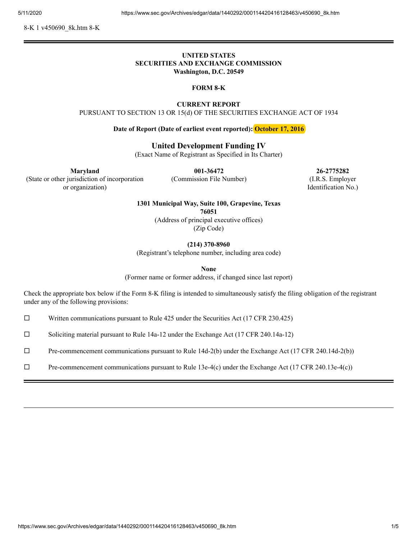8-K 1 v450690\_8k.htm 8-K

## **UNITED STATES SECURITIES AND EXCHANGE COMMISSION Washington, D.C. 20549**

#### **FORM 8-K**

## **CURRENT REPORT**

PURSUANT TO SECTION 13 OR 15(d) OF THE SECURITIES EXCHANGE ACT OF 1934

**Date of Report (Date of earliest event reported): October 17, 2016**

## **United Development Funding IV**

(Exact Name of Registrant as Specified in Its Charter)

(State or other jurisdiction of incorporation or organization)

(Commission File Number) (I.R.S. Employer

**Maryland 001-36472 26-2775282** Identification No.)

> **1301 Municipal Way, Suite 100, Grapevine, Texas 76051**

(Address of principal executive offices) (Zip Code)

**(214) 370-8960**

(Registrant's telephone number, including area code)

**None**

(Former name or former address, if changed since last report)

Check the appropriate box below if the Form 8-K filing is intended to simultaneously satisfy the filing obligation of the registrant under any of the following provisions:

 $\Box$  Written communications pursuant to Rule 425 under the Securities Act (17 CFR 230.425)

 $\Box$  Soliciting material pursuant to Rule 14a-12 under the Exchange Act (17 CFR 240.14a-12)

 $\Box$  Pre-commencement communications pursuant to Rule 14d-2(b) under the Exchange Act (17 CFR 240.14d-2(b))

 $\Box$  Pre-commencement communications pursuant to Rule 13e-4(c) under the Exchange Act (17 CFR 240.13e-4(c))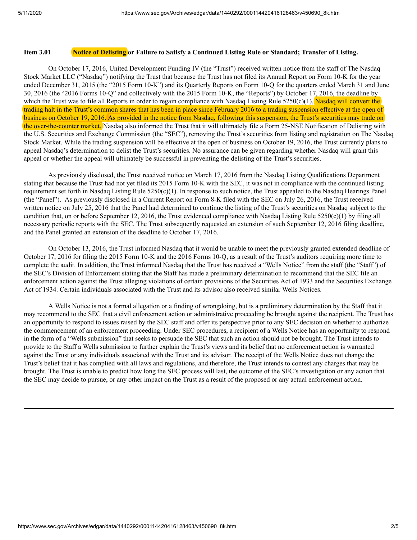### Item 3.01 Notice of Delisting or Failure to Satisfy a Continued Listing Rule or Standard; Transfer of Listing.

On October 17, 2016, United Development Funding IV (the "Trust") received written notice from the staff of The Nasdaq Stock Market LLC ("Nasdaq") notifying the Trust that because the Trust has not filed its Annual Report on Form 10-K for the year ended December 31, 2015 (the "2015 Form 10-K") and its Quarterly Reports on Form 10-Q for the quarters ended March 31 and June 30, 2016 (the "2016 Forms 10-Q" and collectively with the 2015 Form 10-K, the "Reports") by October 17, 2016, the deadline by which the Trust was to file all Reports in order to regain compliance with Nasdaq Listing Rule  $5250(c)(1)$ , Nasdaq will convert the trading halt in the Trust's common shares that has been in place since February 2016 to a trading suspension effective at the open of business on October 19, 2016. As provided in the notice from Nasdaq, following this suspension, the Trust's securities may trade on the over-the-counter market. Nasdaq also informed the Trust that it will ultimately file a Form 25-NSE Notification of Delisting with the U.S. Securities and Exchange Commission (the "SEC"), removing the Trust's securities from listing and registration on The Nasdaq Stock Market. While the trading suspension will be effective at the open of business on October 19, 2016, the Trust currently plans to appeal Nasdaq's determination to delist the Trust's securities. No assurance can be given regarding whether Nasdaq will grant this appeal or whether the appeal will ultimately be successful in preventing the delisting of the Trust's securities.

As previously disclosed, the Trust received notice on March 17, 2016 from the Nasdaq Listing Qualifications Department stating that because the Trust had not yet filed its 2015 Form 10-K with the SEC, it was not in compliance with the continued listing requirement set forth in Nasdaq Listing Rule 5250(c)(1). In response to such notice, the Trust appealed to the Nasdaq Hearings Panel (the "Panel"). As previously disclosed in a Current Report on Form 8-K filed with the SEC on July 26, 2016, the Trust received written notice on July 25, 2016 that the Panel had determined to continue the listing of the Trust's securities on Nasdaq subject to the condition that, on or before September 12, 2016, the Trust evidenced compliance with Nasdaq Listing Rule  $5250(c)(1)$  by filing all necessary periodic reports with the SEC. The Trust subsequently requested an extension of such September 12, 2016 filing deadline, and the Panel granted an extension of the deadline to October 17, 2016.

On October 13, 2016, the Trust informed Nasdaq that it would be unable to meet the previously granted extended deadline of October 17, 2016 for filing the 2015 Form 10-K and the 2016 Forms 10-Q, as a result of the Trust's auditors requiring more time to complete the audit. In addition, the Trust informed Nasdaq that the Trust has received a "Wells Notice" from the staff (the "Staff") of the SEC's Division of Enforcement stating that the Staff has made a preliminary determination to recommend that the SEC file an enforcement action against the Trust alleging violations of certain provisions of the Securities Act of 1933 and the Securities Exchange Act of 1934. Certain individuals associated with the Trust and its advisor also received similar Wells Notices.

A Wells Notice is not a formal allegation or a finding of wrongdoing, but is a preliminary determination by the Staff that it may recommend to the SEC that a civil enforcement action or administrative proceeding be brought against the recipient. The Trust has an opportunity to respond to issues raised by the SEC staff and offer its perspective prior to any SEC decision on whether to authorize the commencement of an enforcement proceeding. Under SEC procedures, a recipient of a Wells Notice has an opportunity to respond in the form of a "Wells submission" that seeks to persuade the SEC that such an action should not be brought. The Trust intends to provide to the Staff a Wells submission to further explain the Trust's views and its belief that no enforcement action is warranted against the Trust or any individuals associated with the Trust and its advisor. The receipt of the Wells Notice does not change the Trust's belief that it has complied with all laws and regulations, and therefore, the Trust intends to contest any charges that may be brought. The Trust is unable to predict how long the SEC process will last, the outcome of the SEC's investigation or any action that the SEC may decide to pursue, or any other impact on the Trust as a result of the proposed or any actual enforcement action.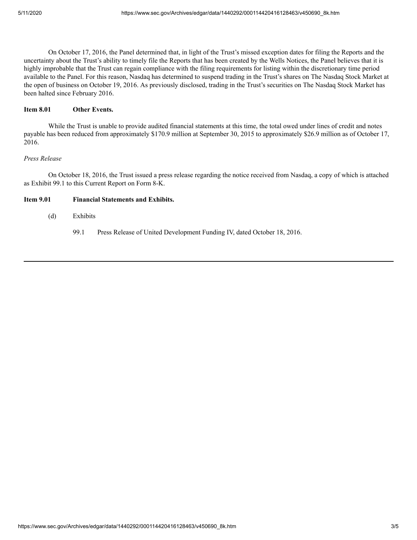On October 17, 2016, the Panel determined that, in light of the Trust's missed exception dates for filing the Reports and the uncertainty about the Trust's ability to timely file the Reports that has been created by the Wells Notices, the Panel believes that it is highly improbable that the Trust can regain compliance with the filing requirements for listing within the discretionary time period available to the Panel. For this reason, Nasdaq has determined to suspend trading in the Trust's shares on The Nasdaq Stock Market at the open of business on October 19, 2016. As previously disclosed, trading in the Trust's securities on The Nasdaq Stock Market has been halted since February 2016.

#### **Item 8.01 Other Events.**

While the Trust is unable to provide audited financial statements at this time, the total owed under lines of credit and notes payable has been reduced from approximately \$170.9 million at September 30, 2015 to approximately \$26.9 million as of October 17, 2016.

## *Press Release*

On October 18, 2016, the Trust issued a press release regarding the notice received from Nasdaq, a copy of which is attached as Exhibit 99.1 to this Current Report on Form 8-K.

## **Item 9.01 Financial Statements and Exhibits.**

- (d) Exhibits
	- 99.1 Press Release of United Development Funding IV, dated October 18, 2016.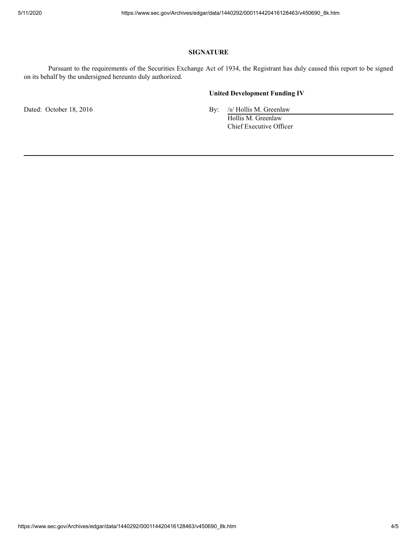#### **SIGNATURE**

Pursuant to the requirements of the Securities Exchange Act of 1934, the Registrant has duly caused this report to be signed on its behalf by the undersigned hereunto duly authorized.

#### **United Development Funding IV**

Dated: October 18, 2016 By: /s/ Hollis M. Greenlaw

Hollis M. Greenlaw Chief Executive Officer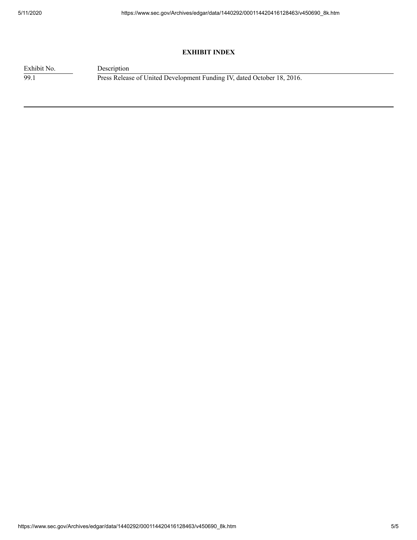# **EXHIBIT INDEX**

Exhibit No. Description

99.1 Press Release of United Development Funding IV, dated October 18, 2016.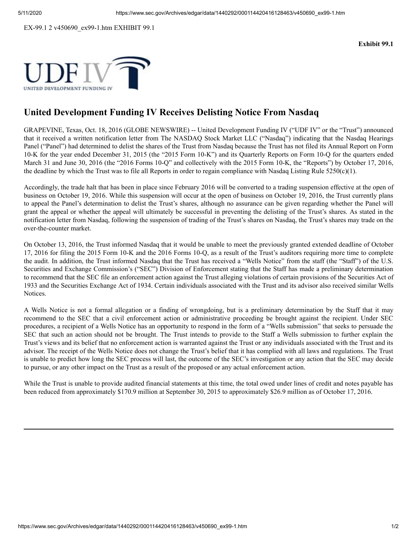**Exhibit 99.1**



# **United Development Funding IV Receives Delisting Notice From Nasdaq**

GRAPEVINE, Texas, Oct. 18, 2016 (GLOBE NEWSWIRE) -- United Development Funding IV ("UDF IV" or the "Trust") announced that it received a written notification letter from The NASDAQ Stock Market LLC ("Nasdaq") indicating that the Nasdaq Hearings Panel ("Panel") had determined to delist the shares of the Trust from Nasdaq because the Trust has not filed its Annual Report on Form 10-K for the year ended December 31, 2015 (the "2015 Form 10-K") and its Quarterly Reports on Form 10-Q for the quarters ended March 31 and June 30, 2016 (the "2016 Forms 10-Q" and collectively with the 2015 Form 10-K, the "Reports") by October 17, 2016, the deadline by which the Trust was to file all Reports in order to regain compliance with Nasdaq Listing Rule 5250(c)(1).

Accordingly, the trade halt that has been in place since February 2016 will be converted to a trading suspension effective at the open of business on October 19, 2016. While this suspension will occur at the open of business on October 19, 2016, the Trust currently plans to appeal the Panel's determination to delist the Trust's shares, although no assurance can be given regarding whether the Panel will grant the appeal or whether the appeal will ultimately be successful in preventing the delisting of the Trust's shares. As stated in the notification letter from Nasdaq, following the suspension of trading of the Trust's shares on Nasdaq, the Trust's shares may trade on the over-the-counter market.

On October 13, 2016, the Trust informed Nasdaq that it would be unable to meet the previously granted extended deadline of October 17, 2016 for filing the 2015 Form 10-K and the 2016 Forms 10-Q, as a result of the Trust's auditors requiring more time to complete the audit. In addition, the Trust informed Nasdaq that the Trust has received a "Wells Notice" from the staff (the "Staff") of the U.S. Securities and Exchange Commission's ("SEC") Division of Enforcement stating that the Staff has made a preliminary determination to recommend that the SEC file an enforcement action against the Trust alleging violations of certain provisions of the Securities Act of 1933 and the Securities Exchange Act of 1934. Certain individuals associated with the Trust and its advisor also received similar Wells Notices.

A Wells Notice is not a formal allegation or a finding of wrongdoing, but is a preliminary determination by the Staff that it may recommend to the SEC that a civil enforcement action or administrative proceeding be brought against the recipient. Under SEC procedures, a recipient of a Wells Notice has an opportunity to respond in the form of a "Wells submission" that seeks to persuade the SEC that such an action should not be brought. The Trust intends to provide to the Staff a Wells submission to further explain the Trust's views and its belief that no enforcement action is warranted against the Trust or any individuals associated with the Trust and its advisor. The receipt of the Wells Notice does not change the Trust's belief that it has complied with all laws and regulations. The Trust is unable to predict how long the SEC process will last, the outcome of the SEC's investigation or any action that the SEC may decide to pursue, or any other impact on the Trust as a result of the proposed or any actual enforcement action.

While the Trust is unable to provide audited financial statements at this time, the total owed under lines of credit and notes payable has been reduced from approximately \$170.9 million at September 30, 2015 to approximately \$26.9 million as of October 17, 2016.